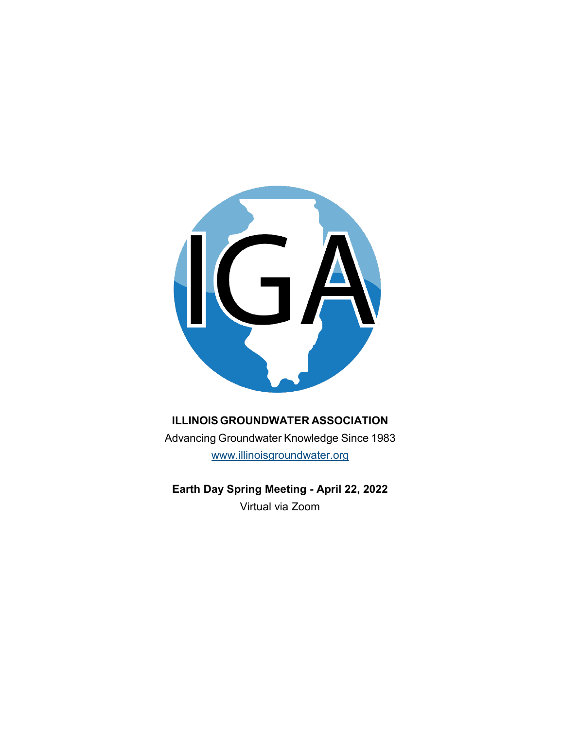

# **ILLINOISGROUNDWATER ASSOCIATION**

Advancing Groundwater Knowledge Since 1983 [www.illinoisgroundwater.org](http://www.illinoisgroundwater.org/)

**Earth Day Spring Meeting - April 22, 2022** Virtual via Zoom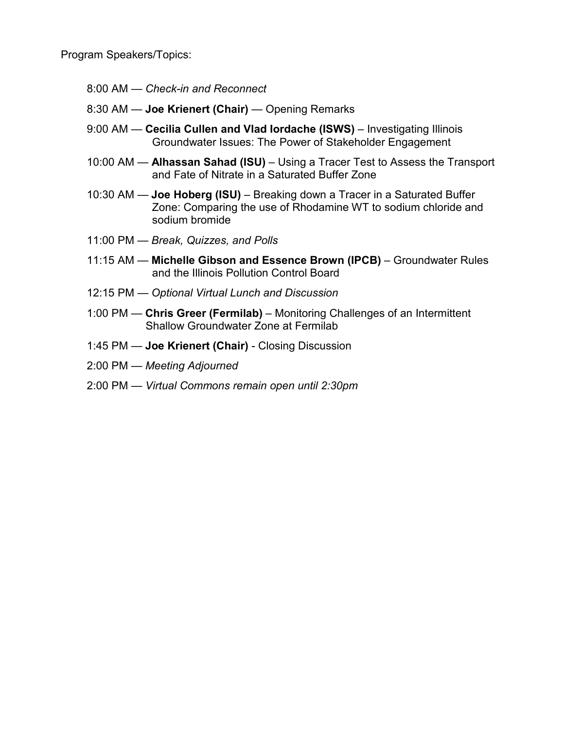Program Speakers/Topics:

- 8:00 AM *Check-in and Reconnect*
- 8:30 AM **Joe Krienert (Chair)**  Opening Remarks
- 9:00 AM **Cecilia Cullen and Vlad Iordache (ISWS)**  Investigating Illinois Groundwater Issues: The Power of Stakeholder Engagement
- 10:00 AM **Alhassan Sahad (ISU)** Using a Tracer Test to Assess the Transport and Fate of Nitrate in a Saturated Buffer Zone
- 10:30 AM **Joe Hoberg (ISU)** Breaking down a Tracer in a Saturated Buffer Zone: Comparing the use of Rhodamine WT to sodium chloride and sodium bromide
- 11:00 PM *Break, Quizzes, and Polls*
- 11:15 AM **Michelle Gibson and Essence Brown (IPCB)** Groundwater Rules and the Illinois Pollution Control Board
- 12:15 PM *Optional Virtual Lunch and Discussion*
- 1:00 PM **Chris Greer (Fermilab)** Monitoring Challenges of an Intermittent Shallow Groundwater Zone at Fermilab
- 1:45 PM **Joe Krienert (Chair)**  Closing Discussion
- 2:00 PM *Meeting Adjourned*
- 2:00 PM *Virtual Commons remain open until 2:30pm*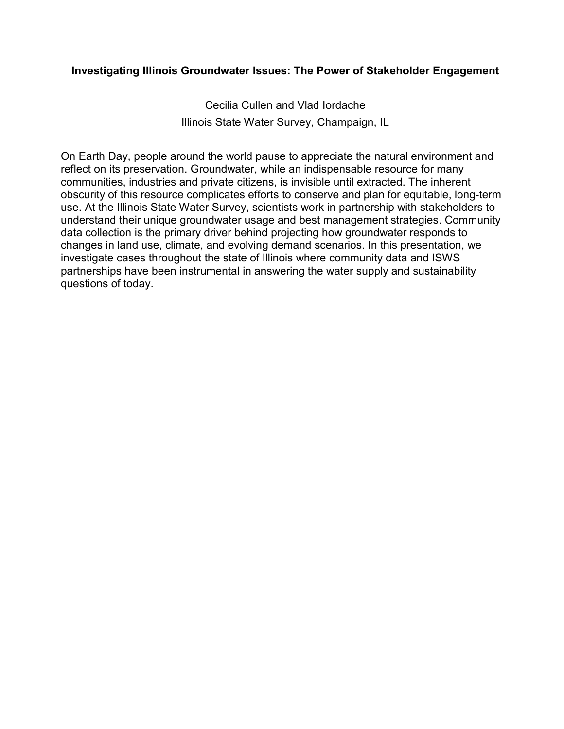### **Investigating Illinois Groundwater Issues: The Power of Stakeholder Engagement**

Cecilia Cullen and Vlad Iordache Illinois State Water Survey, Champaign, IL

On Earth Day, people around the world pause to appreciate the natural environment and reflect on its preservation. Groundwater, while an indispensable resource for many communities, industries and private citizens, is invisible until extracted. The inherent obscurity of this resource complicates efforts to conserve and plan for equitable, long-term use. At the Illinois State Water Survey, scientists work in partnership with stakeholders to understand their unique groundwater usage and best management strategies. Community data collection is the primary driver behind projecting how groundwater responds to changes in land use, climate, and evolving demand scenarios. In this presentation, we investigate cases throughout the state of Illinois where community data and ISWS partnerships have been instrumental in answering the water supply and sustainability questions of today.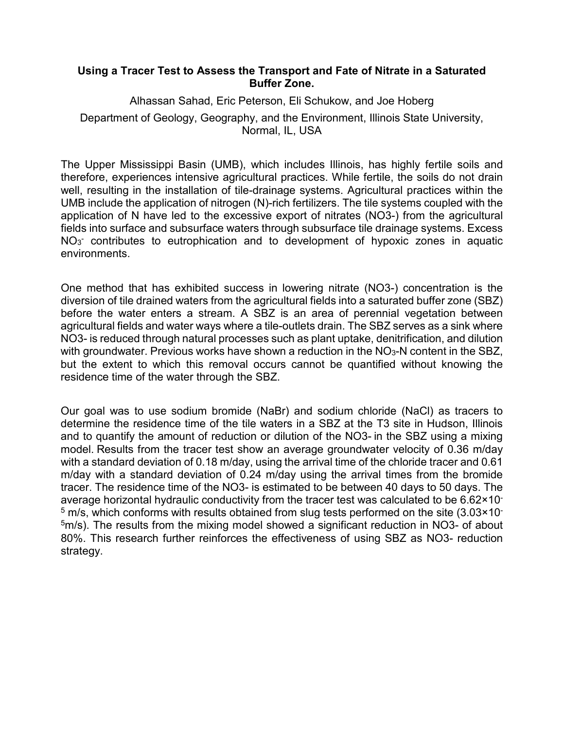#### **Using a Tracer Test to Assess the Transport and Fate of Nitrate in a Saturated Buffer Zone.**

Alhassan Sahad, Eric Peterson, Eli Schukow, and Joe Hoberg Department of Geology, Geography, and the Environment, Illinois State University, Normal, IL, USA

The Upper Mississippi Basin (UMB), which includes Illinois, has highly fertile soils and therefore, experiences intensive agricultural practices. While fertile, the soils do not drain well, resulting in the installation of tile-drainage systems. Agricultural practices within the UMB include the application of nitrogen (N)-rich fertilizers. The tile systems coupled with the application of N have led to the excessive export of nitrates (NO3-) from the agricultural fields into surface and subsurface waters through subsurface tile drainage systems. Excess NO<sub>3</sub> contributes to eutrophication and to development of hypoxic zones in aquatic environments.

One method that has exhibited success in lowering nitrate (NO3-) concentration is the diversion of tile drained waters from the agricultural fields into a saturated buffer zone (SBZ) before the water enters a stream. A SBZ is an area of perennial vegetation between agricultural fields and water ways where a tile-outlets drain. The SBZ serves as a sink where NO3- is reduced through natural processes such as plant uptake, denitrification, and dilution with groundwater. Previous works have shown a reduction in the NO<sub>3</sub>-N content in the SBZ, but the extent to which this removal occurs cannot be quantified without knowing the residence time of the water through the SBZ.

Our goal was to use sodium bromide (NaBr) and sodium chloride (NaCl) as tracers to determine the residence time of the tile waters in a SBZ at the T3 site in Hudson, Illinois and to quantify the amount of reduction or dilution of the NO3- in the SBZ using a mixing model. Results from the tracer test show an average groundwater velocity of 0.36 m/day with a standard deviation of 0.18 m/day, using the arrival time of the chloride tracer and 0.61 m/day with a standard deviation of 0.24 m/day using the arrival times from the bromide tracer. The residence time of the NO3- is estimated to be between 40 days to 50 days. The average horizontal hydraulic conductivity from the tracer test was calculated to be 6.62×10<sup>-</sup>  $5$  m/s, which conforms with results obtained from slug tests performed on the site (3.03×10-<sup>5</sup>m/s). The results from the mixing model showed a significant reduction in NO3- of about 80%. This research further reinforces the effectiveness of using SBZ as NO3- reduction strategy.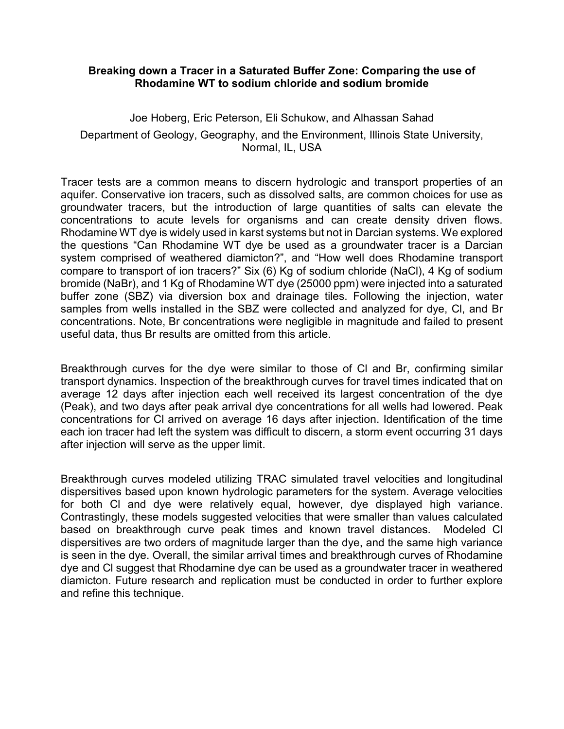#### **Breaking down a Tracer in a Saturated Buffer Zone: Comparing the use of Rhodamine WT to sodium chloride and sodium bromide**

Joe Hoberg, Eric Peterson, Eli Schukow, and Alhassan Sahad Department of Geology, Geography, and the Environment, Illinois State University, Normal, IL, USA

Tracer tests are a common means to discern hydrologic and transport properties of an aquifer. Conservative ion tracers, such as dissolved salts, are common choices for use as groundwater tracers, but the introduction of large quantities of salts can elevate the concentrations to acute levels for organisms and can create density driven flows. Rhodamine WT dye is widely used in karst systems but not in Darcian systems. We explored the questions "Can Rhodamine WT dye be used as a groundwater tracer is a Darcian system comprised of weathered diamicton?", and "How well does Rhodamine transport compare to transport of ion tracers?" Six (6) Kg of sodium chloride (NaCl), 4 Kg of sodium bromide (NaBr), and 1 Kg of Rhodamine WT dye (25000 ppm) were injected into a saturated buffer zone (SBZ) via diversion box and drainage tiles. Following the injection, water samples from wells installed in the SBZ were collected and analyzed for dye, Cl, and Br concentrations. Note, Br concentrations were negligible in magnitude and failed to present useful data, thus Br results are omitted from this article.

Breakthrough curves for the dye were similar to those of Cl and Br, confirming similar transport dynamics. Inspection of the breakthrough curves for travel times indicated that on average 12 days after injection each well received its largest concentration of the dye (Peak), and two days after peak arrival dye concentrations for all wells had lowered. Peak concentrations for Cl arrived on average 16 days after injection. Identification of the time each ion tracer had left the system was difficult to discern, a storm event occurring 31 days after injection will serve as the upper limit.

Breakthrough curves modeled utilizing TRAC simulated travel velocities and longitudinal dispersitives based upon known hydrologic parameters for the system. Average velocities for both Cl and dye were relatively equal, however, dye displayed high variance. Contrastingly, these models suggested velocities that were smaller than values calculated based on breakthrough curve peak times and known travel distances. Modeled Cl dispersitives are two orders of magnitude larger than the dye, and the same high variance is seen in the dye. Overall, the similar arrival times and breakthrough curves of Rhodamine dye and Cl suggest that Rhodamine dye can be used as a groundwater tracer in weathered diamicton. Future research and replication must be conducted in order to further explore and refine this technique.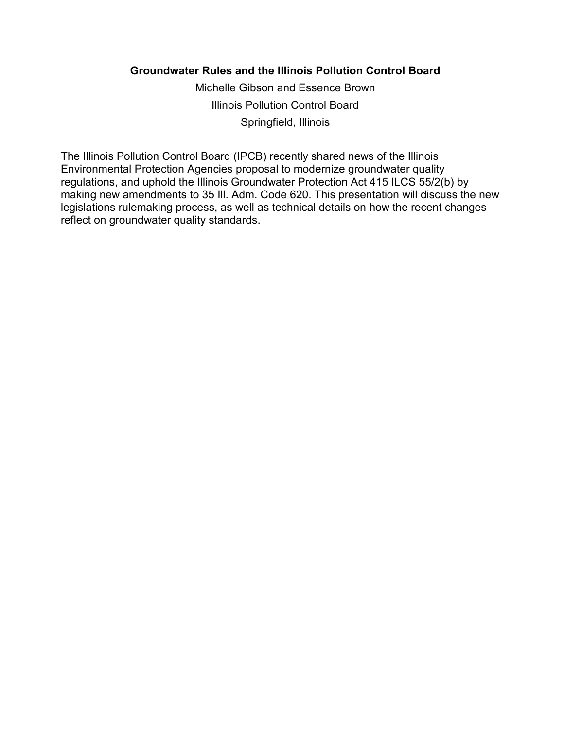## **Groundwater Rules and the Illinois Pollution Control Board**

Michelle Gibson and Essence Brown Illinois Pollution Control Board Springfield, Illinois

The Illinois Pollution Control Board (IPCB) recently shared news of the Illinois Environmental Protection Agencies proposal to modernize groundwater quality regulations, and uphold the Illinois Groundwater Protection Act 415 ILCS 55/2(b) by making new amendments to 35 Ill. Adm. Code 620. This presentation will discuss the new legislations rulemaking process, as well as technical details on how the recent changes reflect on groundwater quality standards.